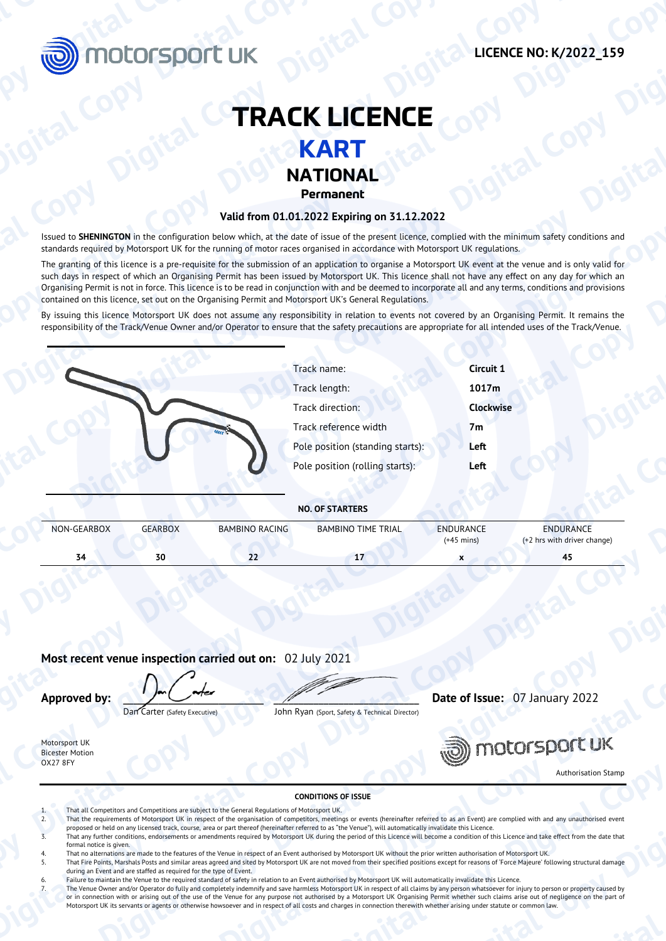

### **TRACK LICENCE KART**

## **NATIONAL**

**Permanent**

#### **Valid from 01.01.2022 Expiring on 31.12.2022**

Issued to **SHENINGTON** in the configuration below which, at the date of issue of the present licence, complied with the minimum safety conditions and standards required by Motorsport UK for the running of motor races organised in accordance with Motorsport UK regulations. **Digital Copy**<br> **Digital Copy Digital Copy RACK LICENCE**<br> **EXART**<br>
Stated to SHENNGTON in the configuration below Motor spect of the currence of the currence of the copy and and condition copy and and condition copy and an

The granting of this licence is a pre-requisite for the submission of an application to organise a Motorsport UK event at the venue and is only valid for such days in respect of which an Organising Permit has been issued by Motorsport UK. This licence shall not have any effect on any day for which an Organising Permit is not in force. This licence is to be read in conjunction with and be deemed to incorporate all and any terms, conditions and provisions contained on this licence, set out on the Organising Permit and Motorsport UK's General Regulations. **COPY**<br> **COPY**<br> **COPY**<br> **COPY**<br> **COPY**<br> **COPY**<br> **COPY**<br> **COPY**<br> **COPY**<br> **COPY**<br> **COPY**<br> **COPY**<br> **COPY**<br> **COPY**<br> **COPY**<br> **COPY**<br> **COPY**<br> **COPY**<br> **COPY**<br> **COPY**<br> **COPY**<br> **COPY**<br> **COPY**<br> **COPY**<br> **COPY**<br> **COPY**<br> **COPY**<br> **COPY DIGITAL COPY ANTIONAL Valid from 01.01.2022**<br>
Stated to SHENINGTON in the configurable blue which, at the date of issue of the present licence, compiled with the minimum safety or<br>
Valid from 01.01.2022 Expiring on 31.12.

By issuing this licence Motorsport UK does not assume any responsibility in relation to events not covered by an Organising Permit. It remains the responsibility of the Track/Venue Owner and/or Operator to ensure that the safety precautions are appropriate for all intended uses of the Track/Venue.



| NON-GEARBOX | GEARBOX | BAMBINO RACING | <b>BAMBINO TIME TRIAL</b> | <b>ENDURANCE</b><br>$(+45$ mins) | <b>ENDURANCE</b><br>(+2 hrs with driver change) |
|-------------|---------|----------------|---------------------------|----------------------------------|-------------------------------------------------|
| 34          | 30      | 55             | .,                        |                                  | 45                                              |

#### **Most recent venue inspection carried out on:** 02 July 2021

Dan Carter (Safety Executive) *John Ryan (Sport, Safety & Technical Director)* 

**Approved by:**  $\bigcirc$  $\bigcirc$  $\bigcirc$  $\bigcirc$  $\bigcirc$  $\bigcirc$  $\bigcirc$  $\bigcirc$  $\bigcirc$  $\bigcirc$  $\bigcirc$  $\bigcirc$  $\bigcirc$  $\bigcirc$  $\bigcirc$  $\bigcirc$  $\bigcirc$  $\bigcirc$  $\bigcirc$  $\bigcirc$  $\bigcirc$  $\bigcirc$  $\bigcirc$  $\bigcirc$  $\bigcirc$  $\bigcirc$  $\bigcirc$  $\bigcirc$  $\bigcirc$  $\bigcirc$  $\bigcirc$  $\bigcirc$  $\bigcirc$  $\bigcirc$  **\bigcirc** 

Motorsport UK Bicester Motion OX27 8FY



# **CONDITIONS OF ISSUE** 1. That all Competitors and Competitions are subject to the General Regulations of Motorsport UK. That the requirements of Motorsport UK in respect of the organisation of competitors, meetings or events (hereinafter referred to as an Event) are complied with and any unauthorised event proposed or held on any licensed track, course, area or part thereof (hereinafter referred to as "the Venue"), will automatically invalidate this Licence. That any further conditions, endorsements or amendments required by Motorsport UK during the period of this Licence will become a condition of this Licence and take effect from the date that formal notice is given. That no alternations are made to the features of the Venue in respect of an Event authorised by Motorsport UK without the prior written authorisation of Motorsport UK. That Fire Points, Marshals Posts and similar areas agreed and sited by Motorsport UK are not moved from their specified positions except for reasons of 'Force Majeure' following structural damage during an Event and are staffed as required for the type of Event. Failure to maintain the Venue to the required standard of safety in relation to an Event authorised by Motorsport UK will automatically invalidate this Licence reactor and the Venus of Operator do fully and completely indemnify and save harmless Motorsport UK in respect of all claims by any person whatsoever for injury to person or property caused by The Venus or property caused or in connection with or arising out of the use of the Venue for any purpose not authorised by a Motorsport UK Organising Permit whether such claims arise out of negligence on the part of Motorsport UK its servants or agents or otherwise howsoever and in respect of all costs and charges in connection therewith whether arising under statute or common law. **Digital Copy Digital Copy Digital Constraints**<br>
The position (submitted contact) The Proposition (submitted)<br> **Digital Copy Digital Copy Digital Copy Digital Copy Digital Copy Digital Copy Digital Copy Digital Copy Digit Copy**  $\frac{1}{2}$  **Digital Copy and Copy and Copy and Copy and Copy and Copy and Copy and Copy and Copy and Copy and Copy and Copy and Copy and Copy and Copy and Copy and Copy and Copy and Copy and Copy and Copy and Copy an NO. OF STATERS**<br>
VON-CEABOX CEABOX BANBINO BACING BANBINO HAT IRIAL BRUERAL BIOLOGY CHANNEL CHANNEL CHANNEL COPY AND COPY AND COPY AND COPY OF A COPY OF A COPY OF A COPY OF A COPY OF A COPY OF A COPY OF A COPY OF A COPY **Copy and the entries of the control control copy and the control copy**  $\frac{1}{2}$  **(D)**  $\frac{1}{2}$  (D)  $\frac{1}{2}$  (D)  $\frac{1}{2}$  (D)  $\frac{1}{2}$  (D)  $\frac{1}{2}$  (D)  $\frac{1}{2}$  (D)  $\frac{1}{2}$  (D)  $\frac{1}{2}$  (D)  $\frac{1}{2}$  (D)  $\frac{1}{2}$ **Dark Catter (Scher, Dark Copy Digital Copy Digital Copy Digital Copy Digital Copy Digital Copy Digital Copy Digital Copy Digital Copy Digital Copy Digital Copy Digital Copy Digital Copy Digital Copy Digital Copy Digital C Conserverse Copyright Copyright Copyright Copyright Copyright Copyright Copyright Copyright Copyright Copyright Copyright Copyright Copyright Copyright Copyright Copyright Copyright Copyright Copyright Copyright Copyright**